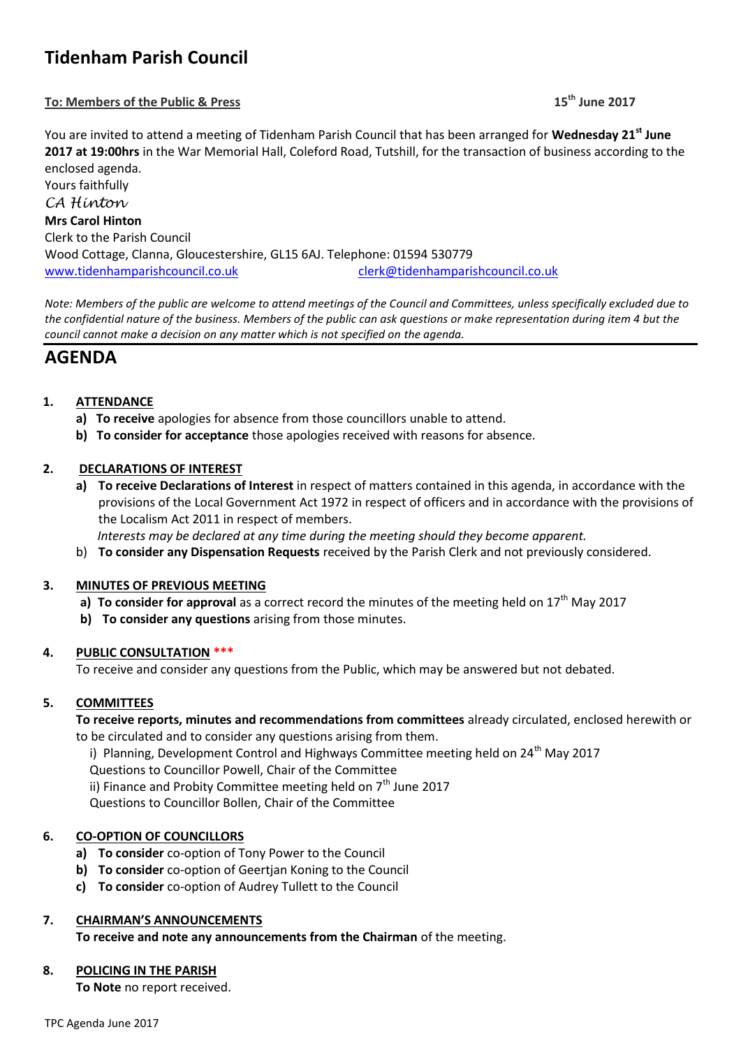# **Tidenham Parish Council**

## **To: Members of the Public & Press 15th June 2017**

You are invited to attend a meeting of Tidenham Parish Council that has been arranged for **Wednesday 21st June 2017 at 19:00hrs** in the War Memorial Hall, Coleford Road, Tutshill, for the transaction of business according to the enclosed agenda.

Yours faithfully *CA Hinton* **Mrs Carol Hinton** Clerk to the Parish Council Wood Cottage, Clanna, Gloucestershire, GL15 6AJ. Telephone: 01594 530779 [www.tidenhamparishcouncil.co.uk](http://www.tidenhamparishcouncil.co.uk/) [clerk@tidenhamparishcouncil.co.uk](mailto:clerk@tidenhamparishcouncil.co.uk)

*Note: Members of the public are welcome to attend meetings of the Council and Committees, unless specifically excluded due to the confidential nature of the business. Members of the public can ask questions or make representation during item 4 but the council cannot make a decision on any matter which is not specified on the agenda.*

## **AGENDA**

## **1. ATTENDANCE**

- **a) To receive** apologies for absence from those councillors unable to attend.
- **b) To consider for acceptance** those apologies received with reasons for absence.

## **2. DECLARATIONS OF INTEREST**

**a) To receive Declarations of Interest** in respect of matters contained in this agenda, in accordance with the provisions of the Local Government Act 1972 in respect of officers and in accordance with the provisions of the Localism Act 2011 in respect of members.

 *Interests may be declared at any time during the meeting should they become apparent.*

b) **To consider any Dispensation Requests** received by the Parish Clerk and not previously considered.

## **3. MINUTES OF PREVIOUS MEETING**

- **a) To consider for approval** as a correct record the minutes of the meeting held on  $17<sup>th</sup>$  May 2017
- **b) To consider any questions** arising from those minutes.

## **4. PUBLIC CONSULTATION \*\*\***

To receive and consider any questions from the Public, which may be answered but not debated.

## **5. COMMITTEES**

**To receive reports, minutes and recommendations from committees** already circulated, enclosed herewith or to be circulated and to consider any questions arising from them.

i) Planning, Development Control and Highways Committee meeting held on  $24^{th}$  May 2017 Questions to Councillor Powell, Chair of the Committee ii) Finance and Probity Committee meeting held on  $7<sup>th</sup>$  June 2017

Questions to Councillor Bollen, Chair of the Committee

## **6. CO-OPTION OF COUNCILLORS**

- **a) To consider** co-option of Tony Power to the Council
- **b) To consider** co-option of Geertjan Koning to the Council
- **c) To consider** co-option of Audrey Tullett to the Council

## **7. CHAIRMAN'S ANNOUNCEMENTS**

**To receive and note any announcements from the Chairman** of the meeting.

#### **8. POLICING IN THE PARISH**

**To Note** no report received.